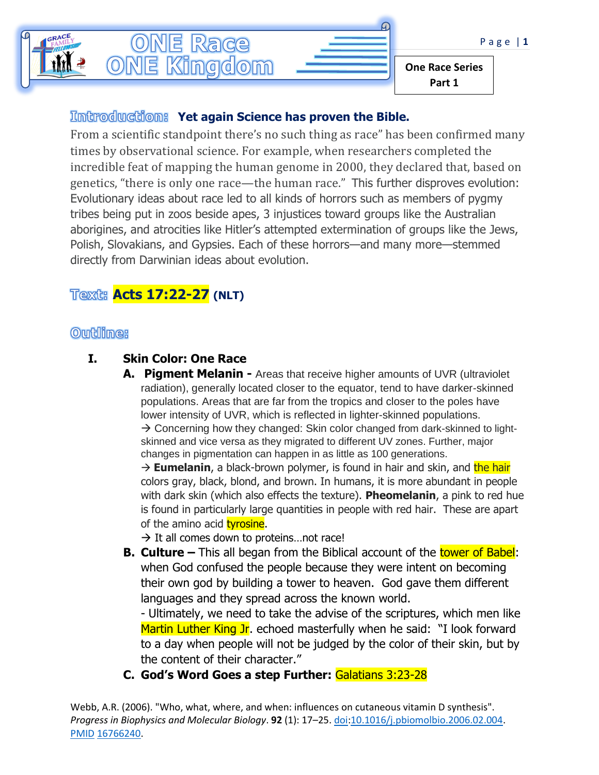

## *<u>Introduction:</u>* Yet again Science has proven the Bible.

From a scientific standpoint there's no such thing as race" has been confirmed many times by observational science. For example, when researchers completed the incredible feat of mapping the human genome in 2000, they declared that, based on genetics, "there is only one race—the human race." This further disproves evolution: Evolutionary ideas about race led to all kinds of horrors such as members of pygmy tribes being put in zoos beside apes, 3 injustices toward groups like the Australian aborigines, and atrocities like Hitler's attempted extermination of groups like the Jews, Polish, Slovakians, and Gypsies. Each of these horrors—and many more—stemmed directly from Darwinian ideas about evolution.

# **Acts 17:22-27 (NLT)**

## **Outline:**

## **I. Skin Color: One Race**

**A. Pigment Melanin -** Areas that receive higher amounts of UVR (ultraviolet radiation), generally located closer to the equator, tend to have darker-skinned populations. Areas that are far from the tropics and closer to the poles have lower intensity of UVR, which is reflected in lighter-skinned populations.

 $\rightarrow$  Concerning how they changed: Skin color changed from dark-skinned to lightskinned and vice versa as they migrated to different UV zones. Further, major changes in pigmentation can happen in as little as 100 generations.

→ **Eumelanin**, a black-brown polymer, is found in hair and skin, and the hair colors gray, black, blond, and brown. In humans, it is more abundant in people with dark skin (which also effects the texture). **Pheomelanin**, a pink to red hue is found in particularly large quantities in people with red hair. These are apart of the amino acid [tyrosine.](https://en.wikipedia.org/wiki/Tyrosine)

 $\rightarrow$  It all comes down to proteins... not race!

**B. Culture** – This all began from the Biblical account of the tower of Babel: when God confused the people because they were intent on becoming their own god by building a tower to heaven. God gave them different languages and they spread across the known world.

- Ultimately, we need to take the advise of the scriptures, which men like Martin Luther King Jr. echoed masterfully when he said: "I look forward to a day when people will not be judged by the color of their skin, but by the content of their character."

**C. God's Word Goes a step Further:** Galatians 3:23-28